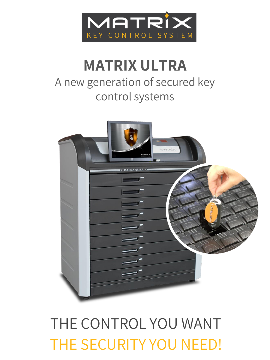

## **MATRIX ULTRA** A new generation of secured key control systems



# THE SECURITY YOU NEED! THE CONTROL YOU WANT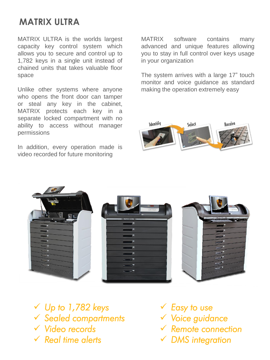#### **MATRIX ULTRA**

MATRIX ULTRA is the worlds largest capacity key control system which allows you to secure and control up to 1,782 keys in a single unit instead of chained units that takes valuable floor space

Unlike other systems where anyone who opens the front door can tamper or steal any key in the cabinet, MATRIX protects each key in a separate locked compartment with no ability to access without manager permissions

In addition, every operation made is video recorded for future monitoring

MATRIX software contains many advanced and unique features allowing you to stay in full control over keys usage in your organization

The system arrives with a large 17" touch monitor and voice guidance as standard making the operation extremely easy





- ✓ *Up to 1,782 keys*  ✓ *Sealed compartments*
- ✓ *Video records*
- ✓ *Real time alerts*
- ✓ *Easy to use*
- ✓ *Voice guidance*
- ✓ *Remote connection*
- ✓ *DMS integration*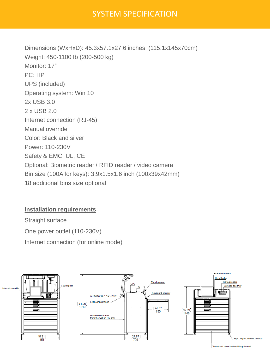#### SYSTEM SPECIFICATION

Dimensions (WxHxD): 45.3x57.1x27.6 inches (115.1x145x70cm) Weight: 450-1100 Ib (200-500 kg) Monitor: 17" PC: HP UPS (included) Operating system: Win 10 2x USB 3.0 2 x USB 2.0 Internet connection (RJ-45) Manual override Color: Black and silver Power: 110-230V Safety & EMC: UL, CE Optional: Biometric reader / RFID reader / video camera Bin size (100A for keys): 3.9x1.5x1.6 inch (100x39x42mm) 18 additional bins size optional

#### **Installation requirements**

Straight surface One power outlet (110-230V) Internet connection (for online mode)



Disconnect panel before lifting the unit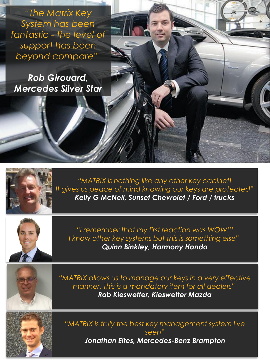*"The Matrix Key System has been fantastic - the level of support has been beyond compare"*

*Rob Girouard, Mercedes Silver Star*



*"MATRIX is nothing like any other key cabinet! It gives us peace of mind knowing our keys are protected" Kelly G McNeil, Sunset Chevrolet / Ford / trucks*



*"I remember that my first reaction was WOW!!! I know other key systems but this is something else" Quinn Binkley, Harmony Honda*

*"MATRIX allows us to manage our keys in a very effective manner. This is a mandatory item for all dealers" Rob Kieswetter, Kieswetter Mazda*



*"MATRIX is truly the best key management system I've seen" Jonathan Eltes, Mercedes-Benz Brampton*